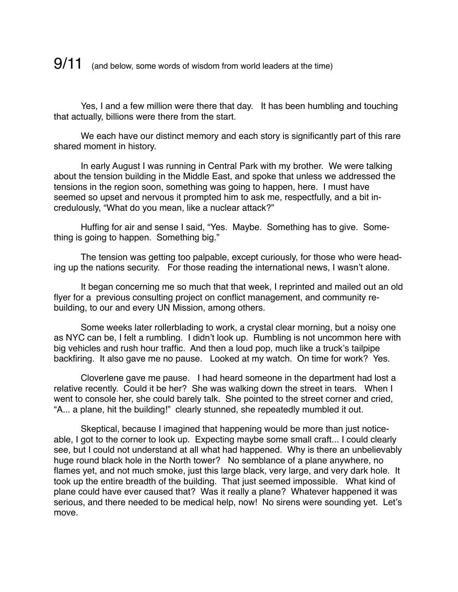## **9/11** (and below, some words of wisdom from world leaders at the time)

Yes, I and a few million were there that day. It has been humbling and touching that actually, billions were there from the start.

We each have our distinct memory and each story is significantly part of this rare shared moment in history.

In early August I was running in Central Park with my brother. We were talking about the tension building in the Middle East, and spoke that unless we addressed the tensions in the region soon, something was going to happen, here. I must have seemed so upset and nervous it prompted him to ask me, respectfully, and a bit incredulously, "What do you mean, like a nuclear attack?"

Huffing for air and sense I said, "Yes. Maybe. Something has to give. Something is going to happen. Something big."

The tension was getting too palpable, except curiously, for those who were heading up the nations security. For those reading the international news, I wasn't alone.

It began concerning me so much that that week, I reprinted and mailed out an old flyer for a previous consulting project on conflict management, and community rebuilding, to our and every UN Mission, among others.

Some weeks later rollerblading to work, a crystal clear morning, but a noisy one as NYC can be, I felt a rumbling. I didn't look up. Rumbling is not uncommon here with big vehicles and rush hour traffic. And then a loud pop, much like a truck's tailpipe backfiring. It also gave me no pause. Looked at my watch. On time for work? Yes.

Cloverlene gave me pause. I had heard someone in the department had lost a relative recently. Could it be her? She was walking down the street in tears. When I went to console her, she could barely talk. She pointed to the street corner and cried, "A... a plane, hit the building!" clearly stunned, she repeatedly mumbled it out.

Skeptical, because I imagined that happening would be more than just noticeable, I got to the corner to look up. Expecting maybe some small craft... I could clearly see, but I could not understand at all what had happened. Why is there an unbelievably huge round black hole in the North tower? No semblance of a plane anywhere, no flames yet, and not much smoke, just this large black, very large, and very dark hole. It took up the entire breadth of the building. That just seemed impossible. What kind of plane could have ever caused that? Was it really a plane? Whatever happened it was serious, and there needed to be medical help, now! No sirens were sounding yet. Let's move.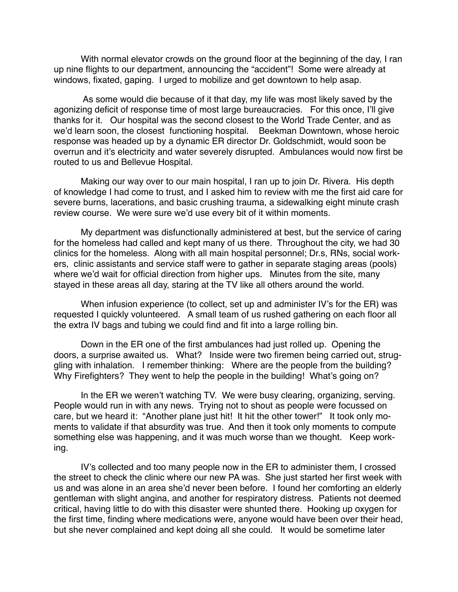With normal elevator crowds on the ground floor at the beginning of the day, I ran up nine flights to our department, announcing the "accident"! Some were already at windows, fixated, gaping. I urged to mobilize and get downtown to help asap.

As some would die because of it that day, my life was most likely saved by the agonizing deficit of response time of most large bureaucracies. For this once, I'll give thanks for it. Our hospital was the second closest to the World Trade Center, and as we'd learn soon, the closest functioning hospital. Beekman Downtown, whose heroic response was headed up by a dynamic ER director Dr. Goldschmidt, would soon be overrun and it's electricity and water severely disrupted. Ambulances would now first be routed to us and Bellevue Hospital.

Making our way over to our main hospital, I ran up to join Dr. Rivera. His depth of knowledge I had come to trust, and I asked him to review with me the first aid care for severe burns, lacerations, and basic crushing trauma, a sidewalking eight minute crash review course. We were sure we'd use every bit of it within moments.

My department was disfunctionally administered at best, but the service of caring for the homeless had called and kept many of us there. Throughout the city, we had 30 clinics for the homeless. Along with all main hospital personnel; Dr.s, RNs, social workers, clinic assistants and service staff were to gather in separate staging areas (pools) where we'd wait for official direction from higher ups. Minutes from the site, many stayed in these areas all day, staring at the TV like all others around the world.

When infusion experience (to collect, set up and administer IV's for the ER) was requested I quickly volunteered. A small team of us rushed gathering on each floor all the extra IV bags and tubing we could find and fit into a large rolling bin.

Down in the ER one of the first ambulances had just rolled up. Opening the doors, a surprise awaited us. What? Inside were two firemen being carried out, struggling with inhalation. I remember thinking: Where are the people from the building? Why Firefighters? They went to help the people in the building! What's going on?

In the ER we weren't watching TV. We were busy clearing, organizing, serving. People would run in with any news. Trying not to shout as people were focussed on care, but we heard it: "Another plane just hit! It hit the other tower!" It took only moments to validate if that absurdity was true. And then it took only moments to compute something else was happening, and it was much worse than we thought. Keep working.

IV's collected and too many people now in the ER to administer them, I crossed the street to check the clinic where our new PA was. She just started her first week with us and was alone in an area she'd never been before. I found her comforting an elderly gentleman with slight angina, and another for respiratory distress. Patients not deemed critical, having little to do with this disaster were shunted there. Hooking up oxygen for the first time, finding where medications were, anyone would have been over their head, but she never complained and kept doing all she could. It would be sometime later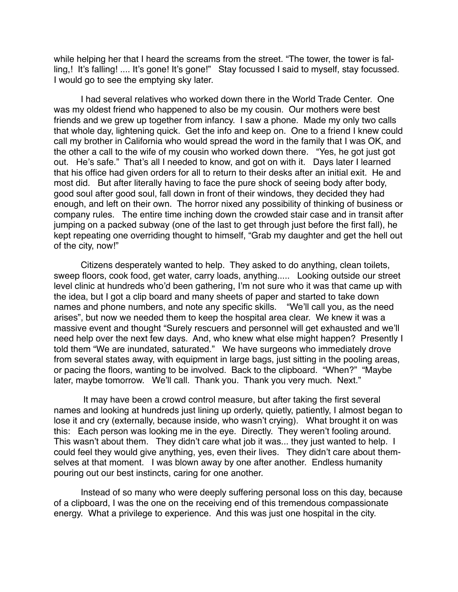while helping her that I heard the screams from the street. "The tower, the tower is falling,! It's falling! .... It's gone! It's gone!" Stay focussed I said to myself, stay focussed. I would go to see the emptying sky later.

I had several relatives who worked down there in the World Trade Center. One was my oldest friend who happened to also be my cousin. Our mothers were best friends and we grew up together from infancy. I saw a phone. Made my only two calls that whole day, lightening quick. Get the info and keep on. One to a friend I knew could call my brother in California who would spread the word in the family that I was OK, and the other a call to the wife of my cousin who worked down there. "Yes, he got just got out. He's safe." That's all I needed to know, and got on with it. Days later I learned that his office had given orders for all to return to their desks after an initial exit. He and most did. But after literally having to face the pure shock of seeing body after body, good soul after good soul, fall down in front of their windows, they decided they had enough, and left on their own. The horror nixed any possibility of thinking of business or company rules. The entire time inching down the crowded stair case and in transit after jumping on a packed subway (one of the last to get through just before the first fall), he kept repeating one overriding thought to himself, "Grab my daughter and get the hell out of the city, now!"

Citizens desperately wanted to help. They asked to do anything, clean toilets, sweep floors, cook food, get water, carry loads, anything..... Looking outside our street level clinic at hundreds who'd been gathering, I'm not sure who it was that came up with the idea, but I got a clip board and many sheets of paper and started to take down names and phone numbers, and note any specific skills. "We'll call you, as the need arises", but now we needed them to keep the hospital area clear. We knew it was a massive event and thought "Surely rescuers and personnel will get exhausted and we'll need help over the next few days. And, who knew what else might happen? Presently I told them "We are inundated, saturated." We have surgeons who immediately drove from several states away, with equipment in large bags, just sitting in the pooling areas, or pacing the floors, wanting to be involved. Back to the clipboard. "When?" "Maybe later, maybe tomorrow. We'll call. Thank you. Thank you very much. Next."

 It may have been a crowd control measure, but after taking the first several names and looking at hundreds just lining up orderly, quietly, patiently, I almost began to lose it and cry (externally, because inside, who wasn't crying). What brought it on was this: Each person was looking me in the eye. Directly. They weren't fooling around. This wasn't about them. They didn't care what job it was... they just wanted to help. I could feel they would give anything, yes, even their lives. They didn't care about themselves at that moment. I was blown away by one after another. Endless humanity pouring out our best instincts, caring for one another.

Instead of so many who were deeply suffering personal loss on this day, because of a clipboard, I was the one on the receiving end of this tremendous compassionate energy. What a privilege to experience. And this was just one hospital in the city.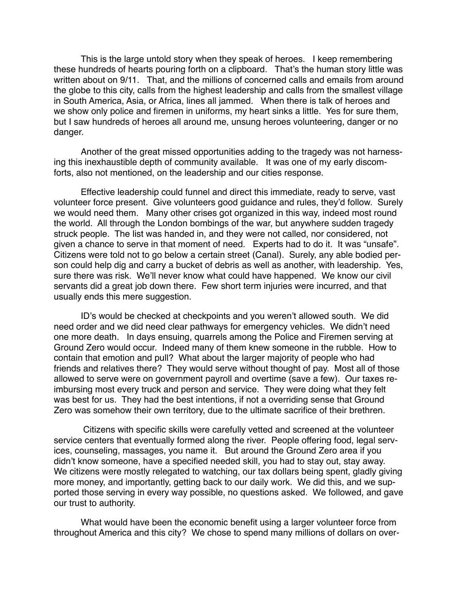This is the large untold story when they speak of heroes. I keep remembering these hundreds of hearts pouring forth on a clipboard. That's the human story little was written about on 9/11. That, and the millions of concerned calls and emails from around the globe to this city, calls from the highest leadership and calls from the smallest village in South America, Asia, or Africa, lines all jammed. When there is talk of heroes and we show only police and firemen in uniforms, my heart sinks a little. Yes for sure them, but I saw hundreds of heroes all around me, unsung heroes volunteering, danger or no danger.

Another of the great missed opportunities adding to the tragedy was not harnessing this inexhaustible depth of community available. It was one of my early discomforts, also not mentioned, on the leadership and our cities response.

Effective leadership could funnel and direct this immediate, ready to serve, vast volunteer force present. Give volunteers good guidance and rules, they'd follow. Surely we would need them. Many other crises got organized in this way, indeed most round the world. All through the London bombings of the war, but anywhere sudden tragedy struck people. The list was handed in, and they were not called, nor considered, not given a chance to serve in that moment of need. Experts had to do it. It was "unsafe". Citizens were told not to go below a certain street (Canal). Surely, any able bodied person could help dig and carry a bucket of debris as well as another, with leadership. Yes, sure there was risk. We'll never know what could have happened. We know our civil servants did a great job down there. Few short term injuries were incurred, and that usually ends this mere suggestion.

ID's would be checked at checkpoints and you weren't allowed south. We did need order and we did need clear pathways for emergency vehicles. We didn't need one more death. In days ensuing, quarrels among the Police and Firemen serving at Ground Zero would occur. Indeed many of them knew someone in the rubble. How to contain that emotion and pull? What about the larger majority of people who had friends and relatives there? They would serve without thought of pay. Most all of those allowed to serve were on government payroll and overtime (save a few). Our taxes reimbursing most every truck and person and service. They were doing what they felt was best for us. They had the best intentions, if not a overriding sense that Ground Zero was somehow their own territory, due to the ultimate sacrifice of their brethren.

 Citizens with specific skills were carefully vetted and screened at the volunteer service centers that eventually formed along the river. People offering food, legal services, counseling, massages, you name it. But around the Ground Zero area if you didn't know someone, have a specified needed skill, you had to stay out, stay away. We citizens were mostly relegated to watching, our tax dollars being spent, gladly giving more money, and importantly, getting back to our daily work. We did this, and we supported those serving in every way possible, no questions asked. We followed, and gave our trust to authority.

What would have been the economic benefit using a larger volunteer force from throughout America and this city? We chose to spend many millions of dollars on over-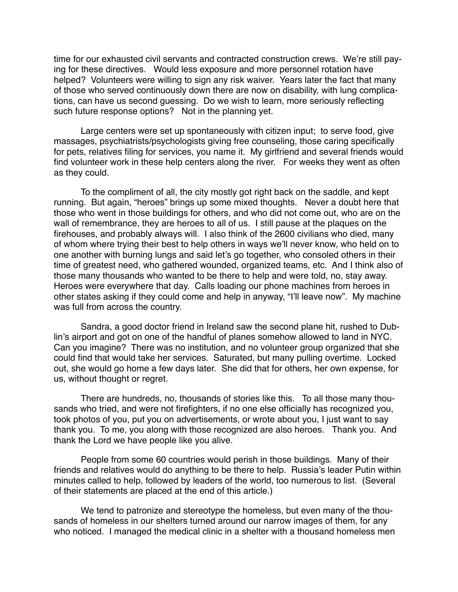time for our exhausted civil servants and contracted construction crews. We're still paying for these directives. Would less exposure and more personnel rotation have helped? Volunteers were willing to sign any risk waiver. Years later the fact that many of those who served continuously down there are now on disability, with lung complications, can have us second guessing. Do we wish to learn, more seriously reflecting such future response options? Not in the planning yet.

Large centers were set up spontaneously with citizen input; to serve food, give massages, psychiatrists/psychologists giving free counseling, those caring specifically for pets, relatives filing for services, you name it. My girlfriend and several friends would find volunteer work in these help centers along the river. For weeks they went as often as they could.

To the compliment of all, the city mostly got right back on the saddle, and kept running. But again, "heroes" brings up some mixed thoughts. Never a doubt here that those who went in those buildings for others, and who did not come out, who are on the wall of remembrance, they are heroes to all of us. I still pause at the plaques on the firehouses, and probably always will. I also think of the 2600 civilians who died, many of whom where trying their best to help others in ways we'll never know, who held on to one another with burning lungs and said let's go together, who consoled others in their time of greatest need, who gathered wounded, organized teams, etc. And I think also of those many thousands who wanted to be there to help and were told, no, stay away. Heroes were everywhere that day. Calls loading our phone machines from heroes in other states asking if they could come and help in anyway, "I'll leave now". My machine was full from across the country.

Sandra, a good doctor friend in Ireland saw the second plane hit, rushed to Dublin's airport and got on one of the handful of planes somehow allowed to land in NYC. Can you imagine? There was no institution, and no volunteer group organized that she could find that would take her services. Saturated, but many pulling overtime. Locked out, she would go home a few days later. She did that for others, her own expense, for us, without thought or regret.

There are hundreds, no, thousands of stories like this. To all those many thousands who tried, and were not firefighters, if no one else officially has recognized you, took photos of you, put you on advertisements, or wrote about you, I just want to say thank you. To me, you along with those recognized are also heroes. Thank you. And thank the Lord we have people like you alive.

People from some 60 countries would perish in those buildings. Many of their friends and relatives would do anything to be there to help. Russia's leader Putin within minutes called to help, followed by leaders of the world, too numerous to list. (Several of their statements are placed at the end of this article.)

We tend to patronize and stereotype the homeless, but even many of the thousands of homeless in our shelters turned around our narrow images of them, for any who noticed. I managed the medical clinic in a shelter with a thousand homeless men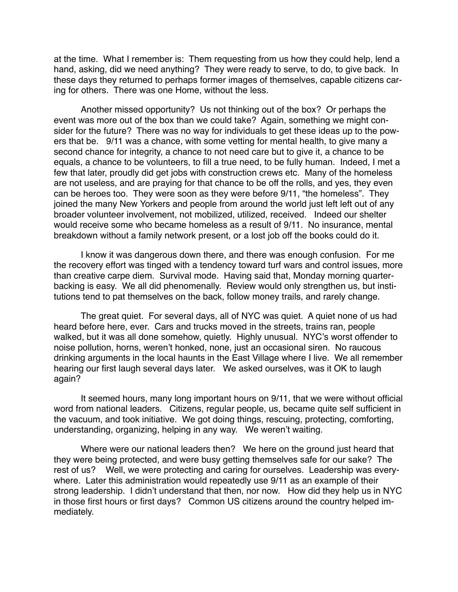at the time. What I remember is: Them requesting from us how they could help, lend a hand, asking, did we need anything? They were ready to serve, to do, to give back. In these days they returned to perhaps former images of themselves, capable citizens caring for others. There was one Home, without the less.

Another missed opportunity? Us not thinking out of the box? Or perhaps the event was more out of the box than we could take? Again, something we might consider for the future? There was no way for individuals to get these ideas up to the powers that be. 9/11 was a chance, with some vetting for mental health, to give many a second chance for integrity, a chance to not need care but to give it, a chance to be equals, a chance to be volunteers, to fill a true need, to be fully human. Indeed, I met a few that later, proudly did get jobs with construction crews etc. Many of the homeless are not useless, and are praying for that chance to be off the rolls, and yes, they even can be heroes too. They were soon as they were before 9/11, "the homeless". They joined the many New Yorkers and people from around the world just left left out of any broader volunteer involvement, not mobilized, utilized, received. Indeed our shelter would receive some who became homeless as a result of 9/11. No insurance, mental breakdown without a family network present, or a lost job off the books could do it.

I know it was dangerous down there, and there was enough confusion. For me the recovery effort was tinged with a tendency toward turf wars and control issues, more than creative carpe diem. Survival mode. Having said that, Monday morning quarterbacking is easy. We all did phenomenally. Review would only strengthen us, but institutions tend to pat themselves on the back, follow money trails, and rarely change.

The great quiet. For several days, all of NYC was quiet. A quiet none of us had heard before here, ever. Cars and trucks moved in the streets, trains ran, people walked, but it was all done somehow, quietly. Highly unusual. NYC's worst offender to noise pollution, horns, weren't honked, none, just an occasional siren. No raucous drinking arguments in the local haunts in the East Village where I live. We all remember hearing our first laugh several days later. We asked ourselves, was it OK to laugh again?

It seemed hours, many long important hours on 9/11, that we were without official word from national leaders. Citizens, regular people, us, became quite self sufficient in the vacuum, and took initiative. We got doing things, rescuing, protecting, comforting, understanding, organizing, helping in any way. We weren't waiting.

Where were our national leaders then? We here on the ground just heard that they were being protected, and were busy getting themselves safe for our sake? The rest of us? Well, we were protecting and caring for ourselves. Leadership was everywhere. Later this administration would repeatedly use 9/11 as an example of their strong leadership. I didn't understand that then, nor now. How did they help us in NYC in those first hours or first days? Common US citizens around the country helped immediately.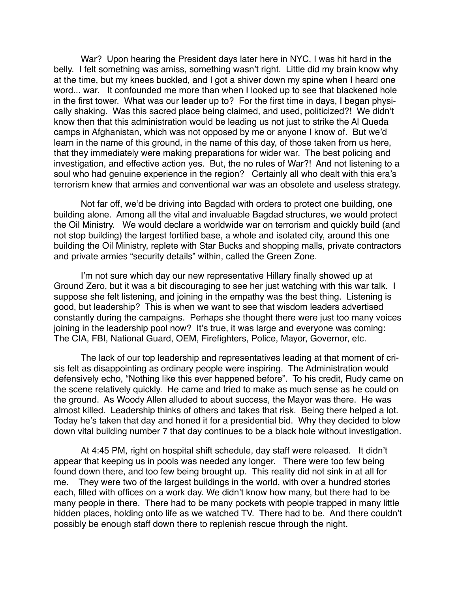War? Upon hearing the President days later here in NYC, I was hit hard in the belly. I felt something was amiss, something wasn't right. Little did my brain know why at the time, but my knees buckled, and I got a shiver down my spine when I heard one word... war. It confounded me more than when I looked up to see that blackened hole in the first tower. What was our leader up to? For the first time in days, I began physically shaking. Was this sacred place being claimed, and used, politicized?! We didn't know then that this administration would be leading us not just to strike the Al Queda camps in Afghanistan, which was not opposed by me or anyone I know of. But we'd learn in the name of this ground, in the name of this day, of those taken from us here, that they immediately were making preparations for wider war. The best policing and investigation, and effective action yes. But, the no rules of War?! And not listening to a soul who had genuine experience in the region? Certainly all who dealt with this era's terrorism knew that armies and conventional war was an obsolete and useless strategy.

Not far off, we'd be driving into Bagdad with orders to protect one building, one building alone. Among all the vital and invaluable Bagdad structures, we would protect the Oil Ministry. We would declare a worldwide war on terrorism and quickly build (and not stop building) the largest fortified base, a whole and isolated city, around this one building the Oil Ministry, replete with Star Bucks and shopping malls, private contractors and private armies "security details" within, called the Green Zone.

I'm not sure which day our new representative Hillary finally showed up at Ground Zero, but it was a bit discouraging to see her just watching with this war talk. I suppose she felt listening, and joining in the empathy was the best thing. Listening is good, but leadership? This is when we want to see that wisdom leaders advertised constantly during the campaigns. Perhaps she thought there were just too many voices joining in the leadership pool now? It's true, it was large and everyone was coming: The CIA, FBI, National Guard, OEM, Firefighters, Police, Mayor, Governor, etc.

The lack of our top leadership and representatives leading at that moment of crisis felt as disappointing as ordinary people were inspiring. The Administration would defensively echo, "Nothing like this ever happened before". To his credit, Rudy came on the scene relatively quickly. He came and tried to make as much sense as he could on the ground. As Woody Allen alluded to about success, the Mayor was there. He was almost killed. Leadership thinks of others and takes that risk. Being there helped a lot. Today he's taken that day and honed it for a presidential bid. Why they decided to blow down vital building number 7 that day continues to be a black hole without investigation.

At 4:45 PM, right on hospital shift schedule, day staff were released. It didn't appear that keeping us in pools was needed any longer. There were too few being found down there, and too few being brought up. This reality did not sink in at all for me. They were two of the largest buildings in the world, with over a hundred stories each, filled with offices on a work day. We didn't know how many, but there had to be many people in there. There had to be many pockets with people trapped in many little hidden places, holding onto life as we watched TV. There had to be. And there couldn't possibly be enough staff down there to replenish rescue through the night.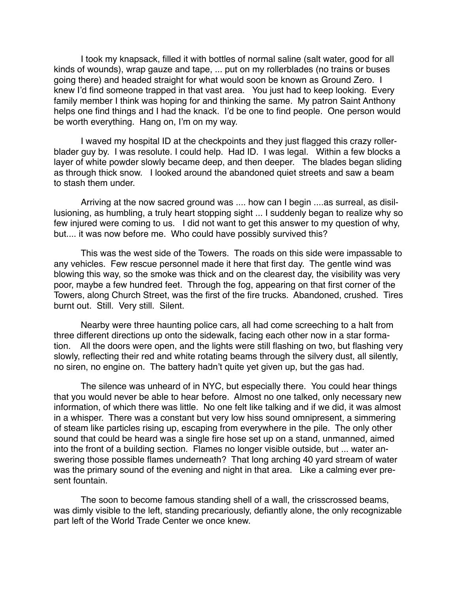I took my knapsack, filled it with bottles of normal saline (salt water, good for all kinds of wounds), wrap gauze and tape, ... put on my rollerblades (no trains or buses going there) and headed straight for what would soon be known as Ground Zero. I knew I'd find someone trapped in that vast area. You just had to keep looking. Every family member I think was hoping for and thinking the same. My patron Saint Anthony helps one find things and I had the knack. I'd be one to find people. One person would be worth everything. Hang on, I'm on my way.

I waved my hospital ID at the checkpoints and they just flagged this crazy rollerblader guy by. I was resolute. I could help. Had ID. I was legal. Within a few blocks a layer of white powder slowly became deep, and then deeper. The blades began sliding as through thick snow. I looked around the abandoned quiet streets and saw a beam to stash them under.

Arriving at the now sacred ground was .... how can I begin ....as surreal, as disillusioning, as humbling, a truly heart stopping sight ... I suddenly began to realize why so few injured were coming to us. I did not want to get this answer to my question of why, but.... it was now before me. Who could have possibly survived this?

This was the west side of the Towers. The roads on this side were impassable to any vehicles. Few rescue personnel made it here that first day. The gentle wind was blowing this way, so the smoke was thick and on the clearest day, the visibility was very poor, maybe a few hundred feet. Through the fog, appearing on that first corner of the Towers, along Church Street, was the first of the fire trucks. Abandoned, crushed. Tires burnt out. Still. Very still. Silent.

Nearby were three haunting police cars, all had come screeching to a halt from three different directions up onto the sidewalk, facing each other now in a star formation. All the doors were open, and the lights were still flashing on two, but flashing very slowly, reflecting their red and white rotating beams through the silvery dust, all silently, no siren, no engine on. The battery hadn't quite yet given up, but the gas had.

The silence was unheard of in NYC, but especially there. You could hear things that you would never be able to hear before. Almost no one talked, only necessary new information, of which there was little. No one felt like talking and if we did, it was almost in a whisper. There was a constant but very low hiss sound omnipresent, a simmering of steam like particles rising up, escaping from everywhere in the pile. The only other sound that could be heard was a single fire hose set up on a stand, unmanned, aimed into the front of a building section. Flames no longer visible outside, but ... water answering those possible flames underneath? That long arching 40 yard stream of water was the primary sound of the evening and night in that area. Like a calming ever present fountain.

The soon to become famous standing shell of a wall, the crisscrossed beams, was dimly visible to the left, standing precariously, defiantly alone, the only recognizable part left of the World Trade Center we once knew.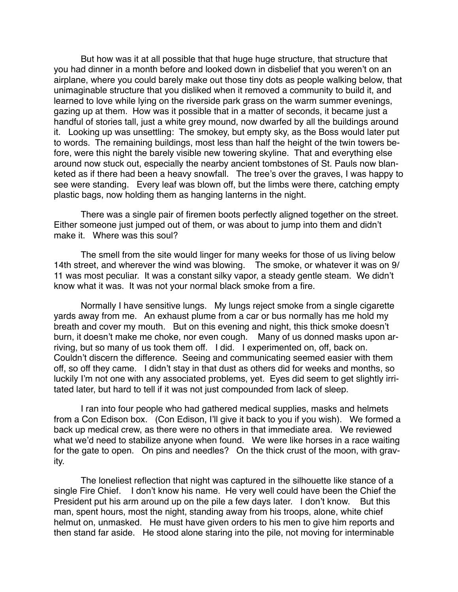But how was it at all possible that that huge huge structure, that structure that you had dinner in a month before and looked down in disbelief that you weren't on an airplane, where you could barely make out those tiny dots as people walking below, that unimaginable structure that you disliked when it removed a community to build it, and learned to love while lying on the riverside park grass on the warm summer evenings, gazing up at them. How was it possible that in a matter of seconds, it became just a handful of stories tall, just a white grey mound, now dwarfed by all the buildings around it. Looking up was unsettling: The smokey, but empty sky, as the Boss would later put to words. The remaining buildings, most less than half the height of the twin towers before, were this night the barely visible new towering skyline. That and everything else around now stuck out, especially the nearby ancient tombstones of St. Pauls now blanketed as if there had been a heavy snowfall. The tree's over the graves, I was happy to see were standing. Every leaf was blown off, but the limbs were there, catching empty plastic bags, now holding them as hanging lanterns in the night.

There was a single pair of firemen boots perfectly aligned together on the street. Either someone just jumped out of them, or was about to jump into them and didn't make it. Where was this soul?

The smell from the site would linger for many weeks for those of us living below 14th street, and wherever the wind was blowing. The smoke, or whatever it was on 9/ 11 was most peculiar. It was a constant silky vapor, a steady gentle steam. We didn't know what it was. It was not your normal black smoke from a fire.

Normally I have sensitive lungs. My lungs reject smoke from a single cigarette yards away from me. An exhaust plume from a car or bus normally has me hold my breath and cover my mouth. But on this evening and night, this thick smoke doesn't burn, it doesn't make me choke, nor even cough. Many of us donned masks upon arriving, but so many of us took them off. I did. I experimented on, off, back on. Couldn't discern the difference. Seeing and communicating seemed easier with them off, so off they came. I didn't stay in that dust as others did for weeks and months, so luckily I'm not one with any associated problems, yet. Eyes did seem to get slightly irritated later, but hard to tell if it was not just compounded from lack of sleep.

I ran into four people who had gathered medical supplies, masks and helmets from a Con Edison box. (Con Edison, I'll give it back to you if you wish). We formed a back up medical crew, as there were no others in that immediate area. We reviewed what we'd need to stabilize anyone when found. We were like horses in a race waiting for the gate to open. On pins and needles? On the thick crust of the moon, with gravity.

The loneliest reflection that night was captured in the silhouette like stance of a single Fire Chief. I don't know his name. He very well could have been the Chief the President put his arm around up on the pile a few days later. I don't know. But this man, spent hours, most the night, standing away from his troops, alone, white chief helmut on, unmasked. He must have given orders to his men to give him reports and then stand far aside. He stood alone staring into the pile, not moving for interminable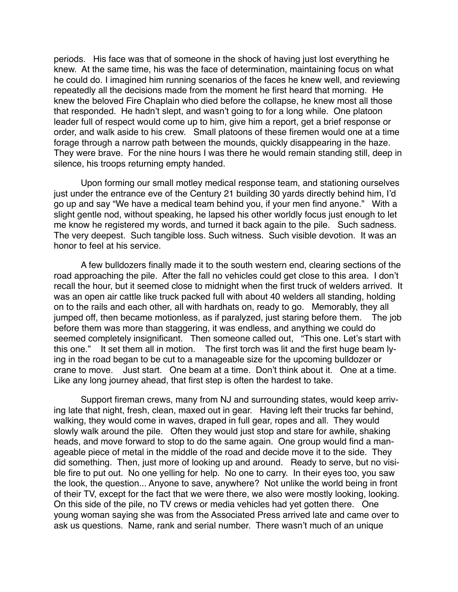periods. His face was that of someone in the shock of having just lost everything he knew. At the same time, his was the face of determination, maintaining focus on what he could do. I imagined him running scenarios of the faces he knew well, and reviewing repeatedly all the decisions made from the moment he first heard that morning. He knew the beloved Fire Chaplain who died before the collapse, he knew most all those that responded. He hadn't slept, and wasn't going to for a long while. One platoon leader full of respect would come up to him, give him a report, get a brief response or order, and walk aside to his crew. Small platoons of these firemen would one at a time forage through a narrow path between the mounds, quickly disappearing in the haze. They were brave. For the nine hours I was there he would remain standing still, deep in silence, his troops returning empty handed.

Upon forming our small motley medical response team, and stationing ourselves just under the entrance eve of the Century 21 building 30 yards directly behind him, I'd go up and say "We have a medical team behind you, if your men find anyone." With a slight gentle nod, without speaking, he lapsed his other worldly focus just enough to let me know he registered my words, and turned it back again to the pile. Such sadness. The very deepest. Such tangible loss. Such witness. Such visible devotion. It was an honor to feel at his service.

A few bulldozers finally made it to the south western end, clearing sections of the road approaching the pile. After the fall no vehicles could get close to this area. I don't recall the hour, but it seemed close to midnight when the first truck of welders arrived. It was an open air cattle like truck packed full with about 40 welders all standing, holding on to the rails and each other, all with hardhats on, ready to go. Memorably, they all jumped off, then became motionless, as if paralyzed, just staring before them. The job before them was more than staggering, it was endless, and anything we could do seemed completely insignificant. Then someone called out, "This one. Let's start with this one." It set them all in motion. The first torch was lit and the first huge beam lying in the road began to be cut to a manageable size for the upcoming bulldozer or crane to move. Just start. One beam at a time. Don't think about it. One at a time. Like any long journey ahead, that first step is often the hardest to take.

Support fireman crews, many from NJ and surrounding states, would keep arriving late that night, fresh, clean, maxed out in gear. Having left their trucks far behind, walking, they would come in waves, draped in full gear, ropes and all. They would slowly walk around the pile. Often they would just stop and stare for awhile, shaking heads, and move forward to stop to do the same again. One group would find a manageable piece of metal in the middle of the road and decide move it to the side. They did something. Then, just more of looking up and around. Ready to serve, but no visible fire to put out. No one yelling for help. No one to carry. In their eyes too, you saw the look, the question... Anyone to save, anywhere? Not unlike the world being in front of their TV, except for the fact that we were there, we also were mostly looking, looking. On this side of the pile, no TV crews or media vehicles had yet gotten there. One young woman saying she was from the Associated Press arrived late and came over to ask us questions. Name, rank and serial number. There wasn't much of an unique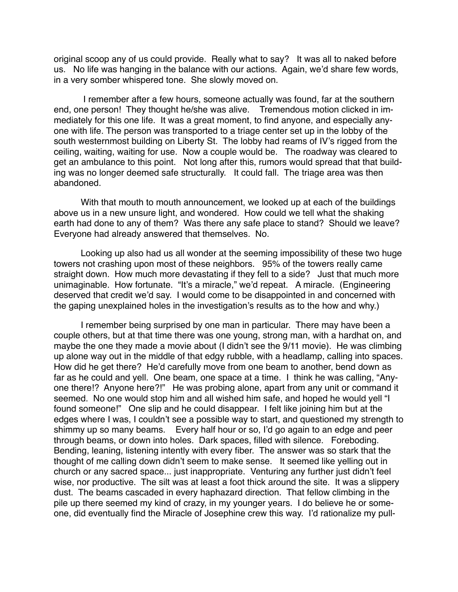original scoop any of us could provide. Really what to say? It was all to naked before us. No life was hanging in the balance with our actions. Again, we'd share few words, in a very somber whispered tone. She slowly moved on.

 I remember after a few hours, someone actually was found, far at the southern end, one person! They thought he/she was alive. Tremendous motion clicked in immediately for this one life. It was a great moment, to find anyone, and especially anyone with life. The person was transported to a triage center set up in the lobby of the south westernmost building on Liberty St. The lobby had reams of IV's rigged from the ceiling, waiting, waiting for use. Now a couple would be. The roadway was cleared to get an ambulance to this point. Not long after this, rumors would spread that that building was no longer deemed safe structurally. It could fall. The triage area was then abandoned.

With that mouth to mouth announcement, we looked up at each of the buildings above us in a new unsure light, and wondered. How could we tell what the shaking earth had done to any of them? Was there any safe place to stand? Should we leave? Everyone had already answered that themselves. No.

Looking up also had us all wonder at the seeming impossibility of these two huge towers not crashing upon most of these neighbors. 95% of the towers really came straight down. How much more devastating if they fell to a side? Just that much more unimaginable. How fortunate. "It's a miracle," we'd repeat. A miracle. (Engineering deserved that credit we'd say. I would come to be disappointed in and concerned with the gaping unexplained holes in the investigation's results as to the how and why.)

I remember being surprised by one man in particular. There may have been a couple others, but at that time there was one young, strong man, with a hardhat on, and maybe the one they made a movie about (I didn't see the 9/11 movie). He was climbing up alone way out in the middle of that edgy rubble, with a headlamp, calling into spaces. How did he get there? He'd carefully move from one beam to another, bend down as far as he could and yell. One beam, one space at a time. I think he was calling, "Anyone there!? Anyone here?!" He was probing alone, apart from any unit or command it seemed. No one would stop him and all wished him safe, and hoped he would yell "I found someone!" One slip and he could disappear. I felt like joining him but at the edges where I was, I couldn't see a possible way to start, and questioned my strength to shimmy up so many beams. Every half hour or so, I'd go again to an edge and peer through beams, or down into holes. Dark spaces, filled with silence. Foreboding. Bending, leaning, listening intently with every fiber. The answer was so stark that the thought of me calling down didn't seem to make sense. It seemed like yelling out in church or any sacred space... just inappropriate. Venturing any further just didn't feel wise, nor productive. The silt was at least a foot thick around the site. It was a slippery dust. The beams cascaded in every haphazard direction. That fellow climbing in the pile up there seemed my kind of crazy, in my younger years. I do believe he or someone, did eventually find the Miracle of Josephine crew this way. I'd rationalize my pull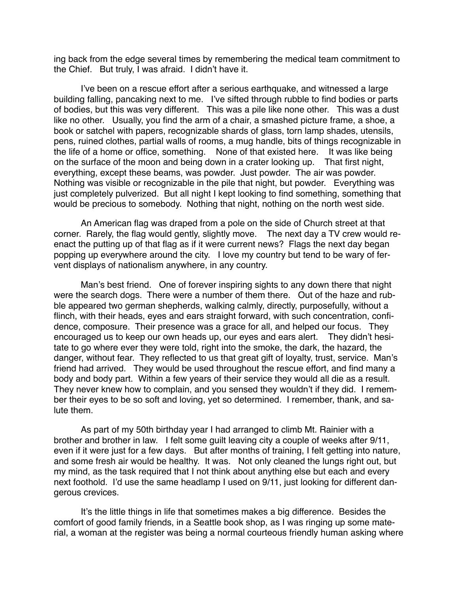ing back from the edge several times by remembering the medical team commitment to the Chief. But truly, I was afraid. I didn't have it.

I've been on a rescue effort after a serious earthquake, and witnessed a large building falling, pancaking next to me. I've sifted through rubble to find bodies or parts of bodies, but this was very different. This was a pile like none other. This was a dust like no other. Usually, you find the arm of a chair, a smashed picture frame, a shoe, a book or satchel with papers, recognizable shards of glass, torn lamp shades, utensils, pens, ruined clothes, partial walls of rooms, a mug handle, bits of things recognizable in the life of a home or office, something. None of that existed here. It was like being on the surface of the moon and being down in a crater looking up. That first night, everything, except these beams, was powder. Just powder. The air was powder. Nothing was visible or recognizable in the pile that night, but powder. Everything was just completely pulverized. But all night I kept looking to find something, something that would be precious to somebody. Nothing that night, nothing on the north west side.

An American flag was draped from a pole on the side of Church street at that corner. Rarely, the flag would gently, slightly move. The next day a TV crew would reenact the putting up of that flag as if it were current news? Flags the next day began popping up everywhere around the city. I love my country but tend to be wary of fervent displays of nationalism anywhere, in any country.

Man's best friend. One of forever inspiring sights to any down there that night were the search dogs. There were a number of them there. Out of the haze and rubble appeared two german shepherds, walking calmly, directly, purposefully, without a flinch, with their heads, eyes and ears straight forward, with such concentration, confidence, composure. Their presence was a grace for all, and helped our focus. They encouraged us to keep our own heads up, our eyes and ears alert. They didn't hesitate to go where ever they were told, right into the smoke, the dark, the hazard, the danger, without fear. They reflected to us that great gift of loyalty, trust, service. Man's friend had arrived. They would be used throughout the rescue effort, and find many a body and body part. Within a few years of their service they would all die as a result. They never knew how to complain, and you sensed they wouldn't if they did. I remember their eyes to be so soft and loving, yet so determined. I remember, thank, and salute them.

As part of my 50th birthday year I had arranged to climb Mt. Rainier with a brother and brother in law. I felt some guilt leaving city a couple of weeks after 9/11, even if it were just for a few days. But after months of training, I felt getting into nature, and some fresh air would be healthy. It was. Not only cleaned the lungs right out, but my mind, as the task required that I not think about anything else but each and every next foothold. I'd use the same headlamp I used on 9/11, just looking for different dangerous crevices.

It's the little things in life that sometimes makes a big difference. Besides the comfort of good family friends, in a Seattle book shop, as I was ringing up some material, a woman at the register was being a normal courteous friendly human asking where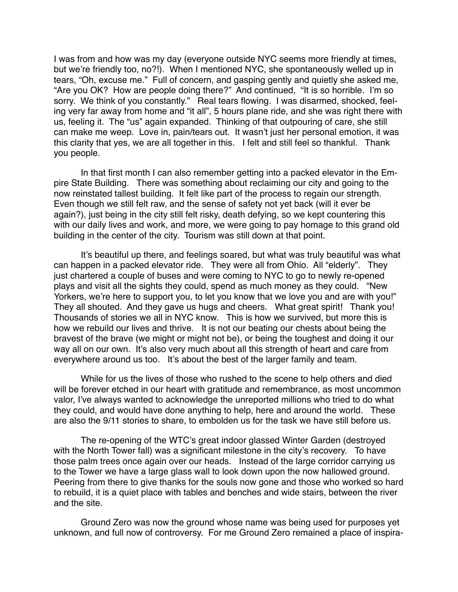I was from and how was my day (everyone outside NYC seems more friendly at times, but we're friendly too, no?!). When I mentioned NYC, she spontaneously welled up in tears, "Oh, excuse me." Full of concern, and gasping gently and quietly she asked me, "Are you OK? How are people doing there?" And continued, "It is so horrible. I'm so sorry. We think of you constantly." Real tears flowing. I was disarmed, shocked, feeling very far away from home and "it all", 5 hours plane ride, and she was right there with us, feeling it. The "us" again expanded. Thinking of that outpouring of care, she still can make me weep. Love in, pain/tears out. It wasn't just her personal emotion, it was this clarity that yes, we are all together in this. I felt and still feel so thankful. Thank you people.

In that first month I can also remember getting into a packed elevator in the Empire State Building. There was something about reclaiming our city and going to the now reinstated tallest building. It felt like part of the process to regain our strength. Even though we still felt raw, and the sense of safety not yet back (will it ever be again?), just being in the city still felt risky, death defying, so we kept countering this with our daily lives and work, and more, we were going to pay homage to this grand old building in the center of the city. Tourism was still down at that point.

It's beautiful up there, and feelings soared, but what was truly beautiful was what can happen in a packed elevator ride. They were all from Ohio. All "elderly". They just chartered a couple of buses and were coming to NYC to go to newly re-opened plays and visit all the sights they could, spend as much money as they could. "New Yorkers, we're here to support you, to let you know that we love you and are with you!" They all shouted. And they gave us hugs and cheers. What great spirit! Thank you! Thousands of stories we all in NYC know. This is how we survived, but more this is how we rebuild our lives and thrive. It is not our beating our chests about being the bravest of the brave (we might or might not be), or being the toughest and doing it our way all on our own. It's also very much about all this strength of heart and care from everywhere around us too. It's about the best of the larger family and team.

While for us the lives of those who rushed to the scene to help others and died will be forever etched in our heart with gratitude and remembrance, as most uncommon valor, I've always wanted to acknowledge the unreported millions who tried to do what they could, and would have done anything to help, here and around the world. These are also the 9/11 stories to share, to embolden us for the task we have still before us.

The re-opening of the WTC's great indoor glassed Winter Garden (destroyed with the North Tower fall) was a significant milestone in the city's recovery. To have those palm trees once again over our heads. Instead of the large corridor carrying us to the Tower we have a large glass wall to look down upon the now hallowed ground. Peering from there to give thanks for the souls now gone and those who worked so hard to rebuild, it is a quiet place with tables and benches and wide stairs, between the river and the site.

Ground Zero was now the ground whose name was being used for purposes yet unknown, and full now of controversy. For me Ground Zero remained a place of inspira-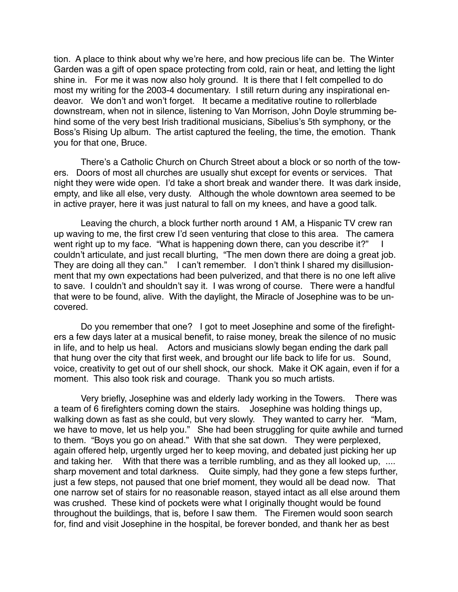tion. A place to think about why we're here, and how precious life can be. The Winter Garden was a gift of open space protecting from cold, rain or heat, and letting the light shine in. For me it was now also holy ground. It is there that I felt compelled to do most my writing for the 2003-4 documentary. I still return during any inspirational endeavor. We don't and won't forget. It became a meditative routine to rollerblade downstream, when not in silence, listening to Van Morrison, John Doyle strumming behind some of the very best Irish traditional musicians, Sibelius's 5th symphony, or the Boss's Rising Up album. The artist captured the feeling, the time, the emotion. Thank you for that one, Bruce.

There's a Catholic Church on Church Street about a block or so north of the towers. Doors of most all churches are usually shut except for events or services. That night they were wide open. I'd take a short break and wander there. It was dark inside, empty, and like all else, very dusty. Although the whole downtown area seemed to be in active prayer, here it was just natural to fall on my knees, and have a good talk.

Leaving the church, a block further north around 1 AM, a Hispanic TV crew ran up waving to me, the first crew I'd seen venturing that close to this area. The camera went right up to my face. "What is happening down there, can you describe it?" couldn't articulate, and just recall blurting, "The men down there are doing a great job. They are doing all they can." I can't remember. I don't think I shared my disillusionment that my own expectations had been pulverized, and that there is no one left alive to save. I couldn't and shouldn't say it. I was wrong of course. There were a handful that were to be found, alive. With the daylight, the Miracle of Josephine was to be uncovered.

Do you remember that one? I got to meet Josephine and some of the firefighters a few days later at a musical benefit, to raise money, break the silence of no music in life, and to help us heal. Actors and musicians slowly began ending the dark pall that hung over the city that first week, and brought our life back to life for us. Sound, voice, creativity to get out of our shell shock, our shock. Make it OK again, even if for a moment. This also took risk and courage. Thank you so much artists.

Very briefly, Josephine was and elderly lady working in the Towers. There was a team of 6 firefighters coming down the stairs. Josephine was holding things up, walking down as fast as she could, but very slowly. They wanted to carry her. "Mam, we have to move, let us help you." She had been struggling for quite awhile and turned to them. "Boys you go on ahead." With that she sat down. They were perplexed, again offered help, urgently urged her to keep moving, and debated just picking her up and taking her. With that there was a terrible rumbling, and as they all looked up, .... sharp movement and total darkness. Quite simply, had they gone a few steps further, just a few steps, not paused that one brief moment, they would all be dead now. That one narrow set of stairs for no reasonable reason, stayed intact as all else around them was crushed. These kind of pockets were what I originally thought would be found throughout the buildings, that is, before I saw them. The Firemen would soon search for, find and visit Josephine in the hospital, be forever bonded, and thank her as best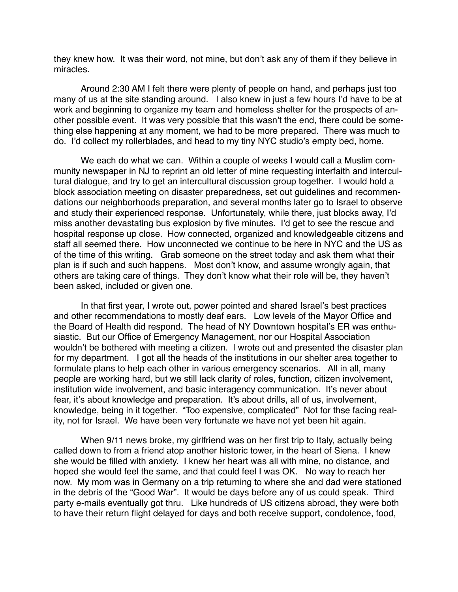they knew how. It was their word, not mine, but don't ask any of them if they believe in miracles.

Around 2:30 AM I felt there were plenty of people on hand, and perhaps just too many of us at the site standing around. I also knew in just a few hours I'd have to be at work and beginning to organize my team and homeless shelter for the prospects of another possible event. It was very possible that this wasn't the end, there could be something else happening at any moment, we had to be more prepared. There was much to do. I'd collect my rollerblades, and head to my tiny NYC studio's empty bed, home.

We each do what we can. Within a couple of weeks I would call a Muslim community newspaper in NJ to reprint an old letter of mine requesting interfaith and intercultural dialogue, and try to get an intercultural discussion group together. I would hold a block association meeting on disaster preparedness, set out guidelines and recommendations our neighborhoods preparation, and several months later go to Israel to observe and study their experienced response. Unfortunately, while there, just blocks away, I'd miss another devastating bus explosion by five minutes. I'd get to see the rescue and hospital response up close. How connected, organized and knowledgeable citizens and staff all seemed there. How unconnected we continue to be here in NYC and the US as of the time of this writing. Grab someone on the street today and ask them what their plan is if such and such happens. Most don't know, and assume wrongly again, that others are taking care of things. They don't know what their role will be, they haven't been asked, included or given one.

In that first year, I wrote out, power pointed and shared Israel's best practices and other recommendations to mostly deaf ears. Low levels of the Mayor Office and the Board of Health did respond. The head of NY Downtown hospital's ER was enthusiastic. But our Office of Emergency Management, nor our Hospital Association wouldn't be bothered with meeting a citizen. I wrote out and presented the disaster plan for my department. I got all the heads of the institutions in our shelter area together to formulate plans to help each other in various emergency scenarios. All in all, many people are working hard, but we still lack clarity of roles, function, citizen involvement, institution wide involvement, and basic interagency communication. It's never about fear, it's about knowledge and preparation. It's about drills, all of us, involvement, knowledge, being in it together. "Too expensive, complicated" Not for thse facing reality, not for Israel. We have been very fortunate we have not yet been hit again.

When 9/11 news broke, my girlfriend was on her first trip to Italy, actually being called down to from a friend atop another historic tower, in the heart of Siena. I knew she would be filled with anxiety. I knew her heart was all with mine, no distance, and hoped she would feel the same, and that could feel I was OK. No way to reach her now. My mom was in Germany on a trip returning to where she and dad were stationed in the debris of the "Good War". It would be days before any of us could speak. Third party e-mails eventually got thru. Like hundreds of US citizens abroad, they were both to have their return flight delayed for days and both receive support, condolence, food,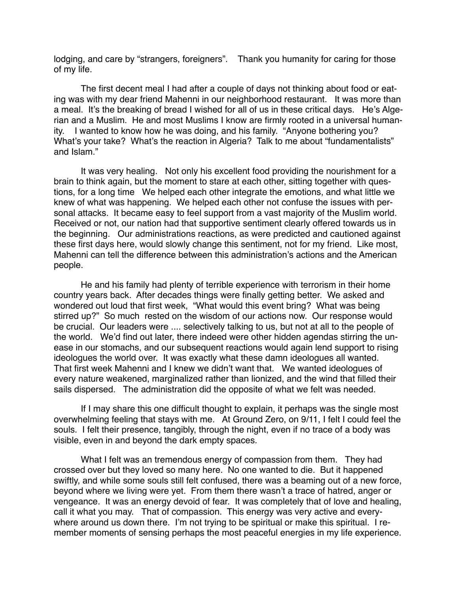lodging, and care by "strangers, foreigners". Thank you humanity for caring for those of my life.

The first decent meal I had after a couple of days not thinking about food or eating was with my dear friend Mahenni in our neighborhood restaurant. It was more than a meal. It's the breaking of bread I wished for all of us in these critical days. He's Algerian and a Muslim. He and most Muslims I know are firmly rooted in a universal humanity. I wanted to know how he was doing, and his family. "Anyone bothering you? What's your take? What's the reaction in Algeria? Talk to me about "fundamentalists" and Islam."

It was very healing. Not only his excellent food providing the nourishment for a brain to think again, but the moment to stare at each other, sitting together with questions, for a long time We helped each other integrate the emotions, and what little we knew of what was happening. We helped each other not confuse the issues with personal attacks. It became easy to feel support from a vast majority of the Muslim world. Received or not, our nation had that supportive sentiment clearly offered towards us in the beginning. Our administrations reactions, as were predicted and cautioned against these first days here, would slowly change this sentiment, not for my friend. Like most, Mahenni can tell the difference between this administration's actions and the American people.

He and his family had plenty of terrible experience with terrorism in their home country years back. After decades things were finally getting better. We asked and wondered out loud that first week, "What would this event bring? What was being stirred up?" So much rested on the wisdom of our actions now. Our response would be crucial. Our leaders were .... selectively talking to us, but not at all to the people of the world. We'd find out later, there indeed were other hidden agendas stirring the unease in our stomachs, and our subsequent reactions would again lend support to rising ideologues the world over. It was exactly what these damn ideologues all wanted. That first week Mahenni and I knew we didn't want that. We wanted ideologues of every nature weakened, marginalized rather than lionized, and the wind that filled their sails dispersed. The administration did the opposite of what we felt was needed.

If I may share this one difficult thought to explain, it perhaps was the single most overwhelming feeling that stays with me. At Ground Zero, on 9/11, I felt I could feel the souls. I felt their presence, tangibly, through the night, even if no trace of a body was visible, even in and beyond the dark empty spaces.

What I felt was an tremendous energy of compassion from them. They had crossed over but they loved so many here. No one wanted to die. But it happened swiftly, and while some souls still felt confused, there was a beaming out of a new force, beyond where we living were yet. From them there wasn't a trace of hatred, anger or vengeance. It was an energy devoid of fear. It was completely that of love and healing, call it what you may. That of compassion. This energy was very active and everywhere around us down there. I'm not trying to be spiritual or make this spiritual. I remember moments of sensing perhaps the most peaceful energies in my life experience.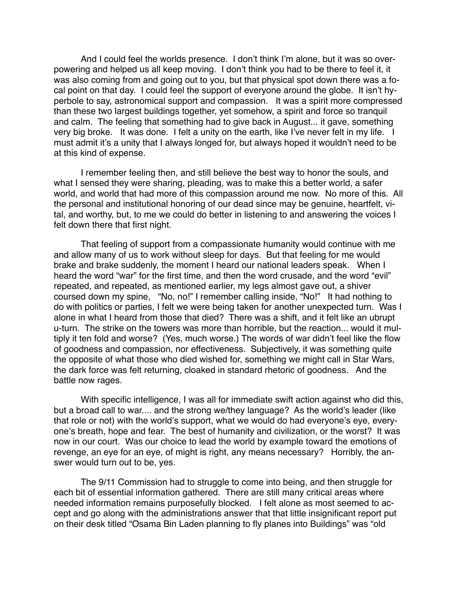And I could feel the worlds presence. I don't think I'm alone, but it was so overpowering and helped us all keep moving. I don't think you had to be there to feel it, it was also coming from and going out to you, but that physical spot down there was a focal point on that day. I could feel the support of everyone around the globe. It isn't hyperbole to say, astronomical support and compassion. It was a spirit more compressed than these two largest buildings together, yet somehow, a spirit and force so tranquil and calm. The feeling that something had to give back in August... it gave, something very big broke. It was done. I felt a unity on the earth, like I've never felt in my life. I must admit it's a unity that I always longed for, but always hoped it wouldn't need to be at this kind of expense.

I remember feeling then, and still believe the best way to honor the souls, and what I sensed they were sharing, pleading, was to make this a better world, a safer world, and world that had more of this compassion around me now. No more of this. All the personal and institutional honoring of our dead since may be genuine, heartfelt, vital, and worthy, but, to me we could do better in listening to and answering the voices I felt down there that first night.

That feeling of support from a compassionate humanity would continue with me and allow many of us to work without sleep for days. But that feeling for me would brake and brake suddenly, the moment I heard our national leaders speak. When I heard the word "war" for the first time, and then the word crusade, and the word "evil" repeated, and repeated, as mentioned earlier, my legs almost gave out, a shiver coursed down my spine, "No, no!" I remember calling inside, "No!" It had nothing to do with politics or parties, I felt we were being taken for another unexpected turn. Was I alone in what I heard from those that died? There was a shift, and it felt like an ubrupt u-turn. The strike on the towers was more than horrible, but the reaction... would it multiply it ten fold and worse? (Yes, much worse.) The words of war didn't feel like the flow of goodness and compassion, nor effectiveness. Subjectively, it was something quite the opposite of what those who died wished for, something we might call in Star Wars, the dark force was felt returning, cloaked in standard rhetoric of goodness. And the battle now rages.

With specific intelligence, I was all for immediate swift action against who did this, but a broad call to war.... and the strong we/they language? As the world's leader (like that role or not) with the world's support, what we would do had everyone's eye, everyone's breath, hope and fear. The best of humanity and civilization, or the worst? It was now in our court. Was our choice to lead the world by example toward the emotions of revenge, an eye for an eye, of might is right, any means necessary? Horribly, the answer would turn out to be, yes.

The 9/11 Commission had to struggle to come into being, and then struggle for each bit of essential information gathered. There are still many critical areas where needed information remains purposefully blocked. I felt alone as most seemed to accept and go along with the administrations answer that that little insignificant report put on their desk titled "Osama Bin Laden planning to fly planes into Buildings" was "old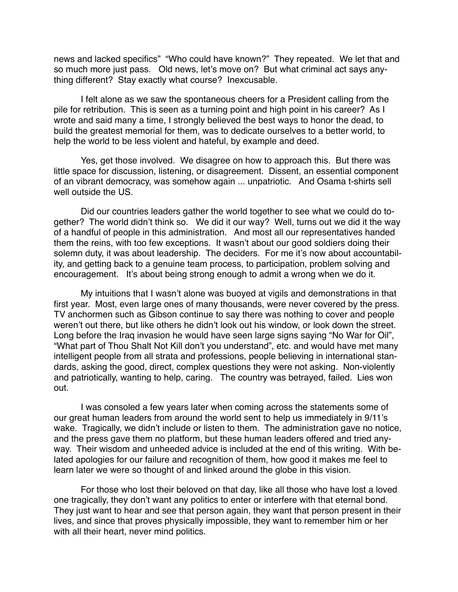news and lacked specifics" "Who could have known?" They repeated. We let that and so much more just pass. Old news, let's move on? But what criminal act says anything different? Stay exactly what course? Inexcusable.

I felt alone as we saw the spontaneous cheers for a President calling from the pile for retribution. This is seen as a turning point and high point in his career? As I wrote and said many a time, I strongly believed the best ways to honor the dead, to build the greatest memorial for them, was to dedicate ourselves to a better world, to help the world to be less violent and hateful, by example and deed.

Yes, get those involved. We disagree on how to approach this. But there was little space for discussion, listening, or disagreement. Dissent, an essential component of an vibrant democracy, was somehow again ... unpatriotic. And Osama t-shirts sell well outside the US.

Did our countries leaders gather the world together to see what we could do together? The world didn't think so. We did it our way? Well, turns out we did it the way of a handful of people in this administration. And most all our representatives handed them the reins, with too few exceptions. It wasn't about our good soldiers doing their solemn duty, it was about leadership. The deciders. For me it's now about accountability, and getting back to a genuine team process, to participation, problem solving and encouragement. It's about being strong enough to admit a wrong when we do it.

My intuitions that I wasn't alone was buoyed at vigils and demonstrations in that first year. Most, even large ones of many thousands, were never covered by the press. TV anchormen such as Gibson continue to say there was nothing to cover and people weren't out there, but like others he didn't look out his window, or look down the street. Long before the Iraq invasion he would have seen large signs saying "No War for Oil", "What part of Thou Shalt Not Kill don't you understand", etc. and would have met many intelligent people from all strata and professions, people believing in international standards, asking the good, direct, complex questions they were not asking. Non-violently and patriotically, wanting to help, caring. The country was betrayed, failed. Lies won out.

I was consoled a few years later when coming across the statements some of our great human leaders from around the world sent to help us immediately in 9/11's wake. Tragically, we didn't include or listen to them. The administration gave no notice, and the press gave them no platform, but these human leaders offered and tried anyway. Their wisdom and unheeded advice is included at the end of this writing. With belated apologies for our failure and recognition of them, how good it makes me feel to learn later we were so thought of and linked around the globe in this vision.

For those who lost their beloved on that day, like all those who have lost a loved one tragically, they don't want any politics to enter or interfere with that eternal bond. They just want to hear and see that person again, they want that person present in their lives, and since that proves physically impossible, they want to remember him or her with all their heart, never mind politics.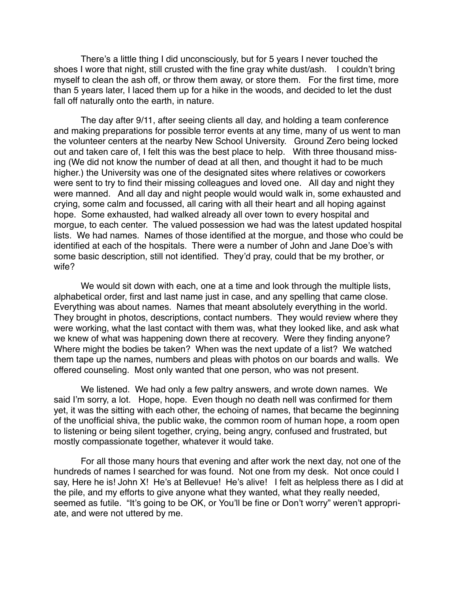There's a little thing I did unconsciously, but for 5 years I never touched the shoes I wore that night, still crusted with the fine gray white dust/ash. I couldn't bring myself to clean the ash off, or throw them away, or store them. For the first time, more than 5 years later, I laced them up for a hike in the woods, and decided to let the dust fall off naturally onto the earth, in nature.

The day after 9/11, after seeing clients all day, and holding a team conference and making preparations for possible terror events at any time, many of us went to man the volunteer centers at the nearby New School University. Ground Zero being locked out and taken care of, I felt this was the best place to help. With three thousand missing (We did not know the number of dead at all then, and thought it had to be much higher.) the University was one of the designated sites where relatives or coworkers were sent to try to find their missing colleagues and loved one. All day and night they were manned. And all day and night people would would walk in, some exhausted and crying, some calm and focussed, all caring with all their heart and all hoping against hope. Some exhausted, had walked already all over town to every hospital and morgue, to each center. The valued possession we had was the latest updated hospital lists. We had names. Names of those identified at the morgue, and those who could be identified at each of the hospitals. There were a number of John and Jane Doe's with some basic description, still not identified. They'd pray, could that be my brother, or wife?

We would sit down with each, one at a time and look through the multiple lists, alphabetical order, first and last name just in case, and any spelling that came close. Everything was about names. Names that meant absolutely everything in the world. They brought in photos, descriptions, contact numbers. They would review where they were working, what the last contact with them was, what they looked like, and ask what we knew of what was happening down there at recovery. Were they finding anyone? Where might the bodies be taken? When was the next update of a list? We watched them tape up the names, numbers and pleas with photos on our boards and walls. We offered counseling. Most only wanted that one person, who was not present.

We listened. We had only a few paltry answers, and wrote down names. We said I'm sorry, a lot. Hope, hope. Even though no death nell was confirmed for them yet, it was the sitting with each other, the echoing of names, that became the beginning of the unofficial shiva, the public wake, the common room of human hope, a room open to listening or being silent together, crying, being angry, confused and frustrated, but mostly compassionate together, whatever it would take.

For all those many hours that evening and after work the next day, not one of the hundreds of names I searched for was found. Not one from my desk. Not once could I say, Here he is! John X! He's at Bellevue! He's alive! I felt as helpless there as I did at the pile, and my efforts to give anyone what they wanted, what they really needed, seemed as futile. "It's going to be OK, or You'll be fine or Don't worry" weren't appropriate, and were not uttered by me.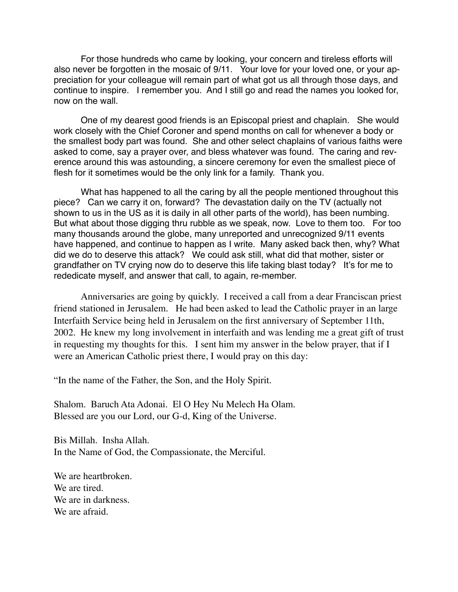For those hundreds who came by looking, your concern and tireless efforts will also never be forgotten in the mosaic of 9/11. Your love for your loved one, or your appreciation for your colleague will remain part of what got us all through those days, and continue to inspire. I remember you. And I still go and read the names you looked for, now on the wall.

One of my dearest good friends is an Episcopal priest and chaplain. She would work closely with the Chief Coroner and spend months on call for whenever a body or the smallest body part was found. She and other select chaplains of various faiths were asked to come, say a prayer over, and bless whatever was found. The caring and reverence around this was astounding, a sincere ceremony for even the smallest piece of flesh for it sometimes would be the only link for a family. Thank you.

What has happened to all the caring by all the people mentioned throughout this piece? Can we carry it on, forward? The devastation daily on the TV (actually not shown to us in the US as it is daily in all other parts of the world), has been numbing. But what about those digging thru rubble as we speak, now. Love to them too. For too many thousands around the globe, many unreported and unrecognized 9/11 events have happened, and continue to happen as I write. Many asked back then, why? What did we do to deserve this attack? We could ask still, what did that mother, sister or grandfather on TV crying now do to deserve this life taking blast today? It's for me to rededicate myself, and answer that call, to again, re-member.

Anniversaries are going by quickly. I received a call from a dear Franciscan priest friend stationed in Jerusalem. He had been asked to lead the Catholic prayer in an large Interfaith Service being held in Jerusalem on the first anniversary of September 11th, 2002. He knew my long involvement in interfaith and was lending me a great gift of trust in requesting my thoughts for this. I sent him my answer in the below prayer, that if I were an American Catholic priest there, I would pray on this day:

"In the name of the Father, the Son, and the Holy Spirit.

Shalom. Baruch Ata Adonai. El O Hey Nu Melech Ha Olam. Blessed are you our Lord, our G-d, King of the Universe.

Bis Millah. Insha Allah. In the Name of God, the Compassionate, the Merciful.

We are heartbroken. We are tired. We are in darkness. We are afraid.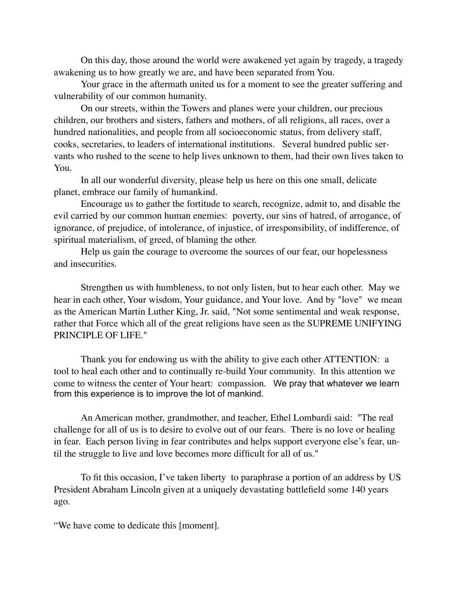On this day, those around the world were awakened yet again by tragedy, a tragedy awakening us to how greatly we are, and have been separated from You.

Your grace in the aftermath united us for a moment to see the greater suffering and vulnerability of our common humanity.

On our streets, within the Towers and planes were your children, our precious children, our brothers and sisters, fathers and mothers, of all religions, all races, over a hundred nationalities, and people from all socioeconomic status, from delivery staff, cooks, secretaries, to leaders of international institutions. Several hundred public servants who rushed to the scene to help lives unknown to them, had their own lives taken to You.

In all our wonderful diversity, please help us here on this one small, delicate planet, embrace our family of humankind.

Encourage us to gather the fortitude to search, recognize, admit to, and disable the evil carried by our common human enemies: poverty, our sins of hatred, of arrogance, of ignorance, of prejudice, of intolerance, of injustice, of irresponsibility, of indifference, of spiritual materialism, of greed, of blaming the other.

Help us gain the courage to overcome the sources of our fear, our hopelessness and insecurities.

Strengthen us with humbleness, to not only listen, but to hear each other. May we hear in each other, Your wisdom, Your guidance, and Your love. And by "love" we mean as the American Martin Luther King, Jr. said, "Not some sentimental and weak response, rather that Force which all of the great religions have seen as the SUPREME UNIFYING PRINCIPLE OF LIFE."

Thank you for endowing us with the ability to give each other ATTENTION: a tool to heal each other and to continually re-build Your community. In this attention we come to witness the center of Your heart: compassion. We pray that whatever we learn from this experience is to improve the lot of mankind.

An American mother, grandmother, and teacher, Ethel Lombardi said: "The real challenge for all of us is to desire to evolve out of our fears. There is no love or healing in fear. Each person living in fear contributes and helps support everyone else's fear, until the struggle to live and love becomes more difficult for all of us."

To fit this occasion, I've taken liberty to paraphrase a portion of an address by US President Abraham Lincoln given at a uniquely devastating battlefield some 140 years ago.

"We have come to dedicate this [moment].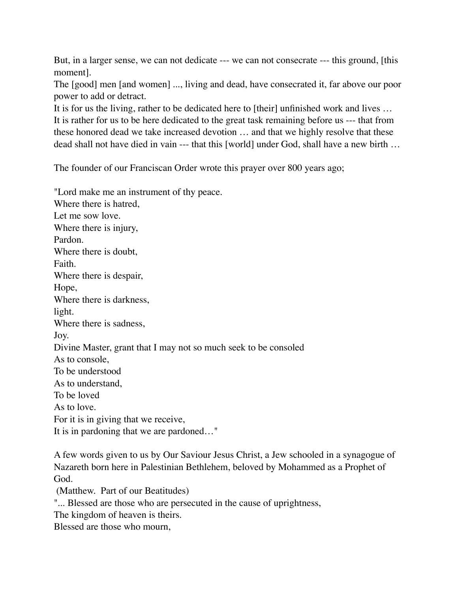But, in a larger sense, we can not dedicate --- we can not consecrate --- this ground, [this moment].

The [good] men [and women] ..., living and dead, have consecrated it, far above our poor power to add or detract.

It is for us the living, rather to be dedicated here to [their] unfinished work and lives … It is rather for us to be here dedicated to the great task remaining before us --- that from these honored dead we take increased devotion … and that we highly resolve that these dead shall not have died in vain --- that this [world] under God, shall have a new birth …

The founder of our Franciscan Order wrote this prayer over 800 years ago;

"Lord make me an instrument of thy peace. Where there is hatred, Let me sow love. Where there is injury, Pardon. Where there is doubt, Faith. Where there is despair, Hope, Where there is darkness, light. Where there is sadness, Joy. Divine Master, grant that I may not so much seek to be consoled As to console, To be understood As to understand, To be loved As to love. For it is in giving that we receive, It is in pardoning that we are pardoned…"

A few words given to us by Our Saviour Jesus Christ, a Jew schooled in a synagogue of Nazareth born here in Palestinian Bethlehem, beloved by Mohammed as a Prophet of God.

(Matthew. Part of our Beatitudes)

"... Blessed are those who are persecuted in the cause of uprightness,

The kingdom of heaven is theirs.

Blessed are those who mourn,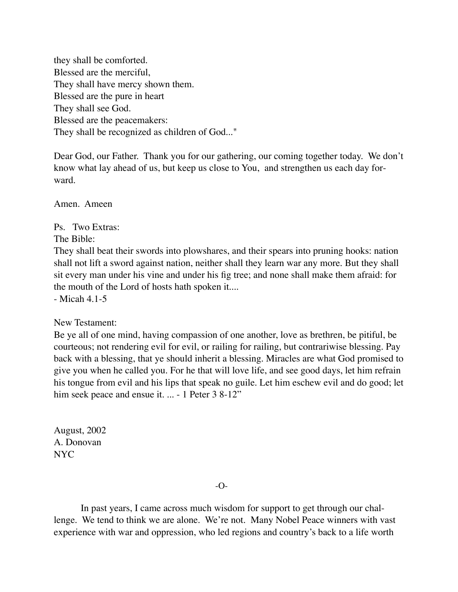they shall be comforted. Blessed are the merciful, They shall have mercy shown them. Blessed are the pure in heart They shall see God. Blessed are the peacemakers: They shall be recognized as children of God..."

Dear God, our Father. Thank you for our gathering, our coming together today. We don't know what lay ahead of us, but keep us close to You, and strengthen us each day forward.

Amen. Ameen

Ps. Two Extras:

The Bible:

They shall beat their swords into plowshares, and their spears into pruning hooks: nation shall not lift a sword against nation, neither shall they learn war any more. But they shall sit every man under his vine and under his fig tree; and none shall make them afraid: for the mouth of the Lord of hosts hath spoken it....

- Micah 4.1-5

New Testament:

Be ye all of one mind, having compassion of one another, love as brethren, be pitiful, be courteous; not rendering evil for evil, or railing for railing, but contrariwise blessing. Pay back with a blessing, that ye should inherit a blessing. Miracles are what God promised to give you when he called you. For he that will love life, and see good days, let him refrain his tongue from evil and his lips that speak no guile. Let him eschew evil and do good; let him seek peace and ensue it. ... - 1 Peter 3 8-12"

August, 2002 A. Donovan NYC

-O-

In past years, I came across much wisdom for support to get through our challenge. We tend to think we are alone. We're not. Many Nobel Peace winners with vast experience with war and oppression, who led regions and country's back to a life worth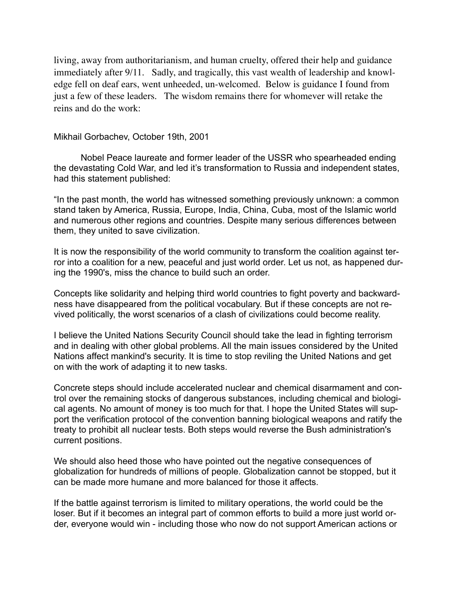living, away from authoritarianism, and human cruelty, offered their help and guidance immediately after 9/11. Sadly, and tragically, this vast wealth of leadership and knowledge fell on deaf ears, went unheeded, un-welcomed. Below is guidance I found from just a few of these leaders. The wisdom remains there for whomever will retake the reins and do the work:

Mikhail Gorbachev, October 19th, 2001

Nobel Peace laureate and former leader of the USSR who spearheaded ending the devastating Cold War, and led it's transformation to Russia and independent states, had this statement published:

"In the past month, the world has witnessed something previously unknown: a common stand taken by America, Russia, Europe, India, China, Cuba, most of the Islamic world and numerous other regions and countries. Despite many serious differences between them, they united to save civilization.

It is now the responsibility of the world community to transform the coalition against terror into a coalition for a new, peaceful and just world order. Let us not, as happened during the 1990's, miss the chance to build such an order.

Concepts like solidarity and helping third world countries to fight poverty and backwardness have disappeared from the political vocabulary. But if these concepts are not revived politically, the worst scenarios of a clash of civilizations could become reality.

I believe the United Nations Security Council should take the lead in fighting terrorism and in dealing with other global problems. All the main issues considered by the United Nations affect mankind's security. It is time to stop reviling the United Nations and get on with the work of adapting it to new tasks.

Concrete steps should include accelerated nuclear and chemical disarmament and control over the remaining stocks of dangerous substances, including chemical and biological agents. No amount of money is too much for that. I hope the United States will support the verification protocol of the convention banning biological weapons and ratify the treaty to prohibit all nuclear tests. Both steps would reverse the Bush administration's current positions.

We should also heed those who have pointed out the negative consequences of globalization for hundreds of millions of people. Globalization cannot be stopped, but it can be made more humane and more balanced for those it affects.

If the battle against terrorism is limited to military operations, the world could be the loser. But if it becomes an integral part of common efforts to build a more just world order, everyone would win - including those who now do not support American actions or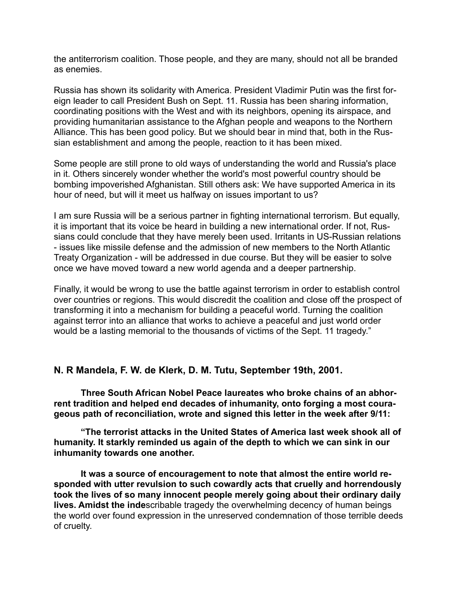the antiterrorism coalition. Those people, and they are many, should not all be branded as enemies.

Russia has shown its solidarity with America. President Vladimir Putin was the first foreign leader to call President Bush on Sept. 11. Russia has been sharing information, coordinating positions with the West and with its neighbors, opening its airspace, and providing humanitarian assistance to the Afghan people and weapons to the Northern Alliance. This has been good policy. But we should bear in mind that, both in the Russian establishment and among the people, reaction to it has been mixed.

Some people are still prone to old ways of understanding the world and Russia's place in it. Others sincerely wonder whether the world's most powerful country should be bombing impoverished Afghanistan. Still others ask: We have supported America in its hour of need, but will it meet us halfway on issues important to us?

I am sure Russia will be a serious partner in fighting international terrorism. But equally, it is important that its voice be heard in building a new international order. If not, Russians could conclude that they have merely been used. Irritants in US-Russian relations - issues like missile defense and the admission of new members to the North Atlantic Treaty Organization - will be addressed in due course. But they will be easier to solve once we have moved toward a new world agenda and a deeper partnership.

Finally, it would be wrong to use the battle against terrorism in order to establish control over countries or regions. This would discredit the coalition and close off the prospect of transforming it into a mechanism for building a peaceful world. Turning the coalition against terror into an alliance that works to achieve a peaceful and just world order would be a lasting memorial to the thousands of victims of the Sept. 11 tragedy."

## **N. R Mandela, F. W. de Klerk, D. M. Tutu, September 19th, 2001.**

**Three South African Nobel Peace laureates who broke chains of an abhorrent tradition and helped end decades of inhumanity, onto forging a most courageous path of reconciliation, wrote and signed this letter in the week after 9/11:**

**"The terrorist attacks in the United States of America last week shook all of humanity. It starkly reminded us again of the depth to which we can sink in our inhumanity towards one another.**

**It was a source of encouragement to note that almost the entire world responded with utter revulsion to such cowardly acts that cruelly and horrendously took the lives of so many innocent people merely going about their ordinary daily lives. Amidst the inde**scribable tragedy the overwhelming decency of human beings the world over found expression in the unreserved condemnation of those terrible deeds of cruelty.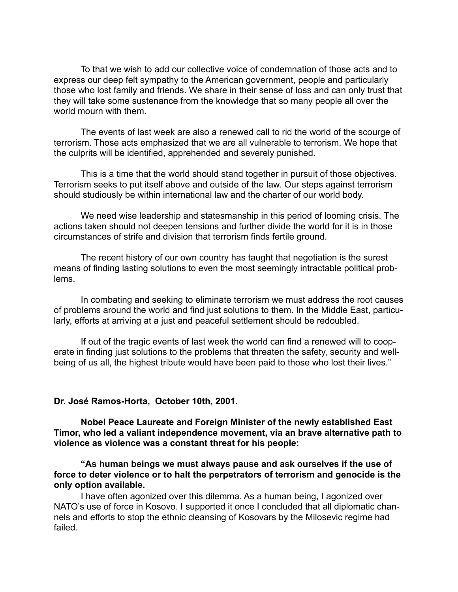To that we wish to add our collective voice of condemnation of those acts and to express our deep felt sympathy to the American government, people and particularly those who lost family and friends. We share in their sense of loss and can only trust that they will take some sustenance from the knowledge that so many people all over the world mourn with them.

The events of last week are also a renewed call to rid the world of the scourge of terrorism. Those acts emphasized that we are all vulnerable to terrorism. We hope that the culprits will be identified, apprehended and severely punished.

This is a time that the world should stand together in pursuit of those objectives. Terrorism seeks to put itself above and outside of the law. Our steps against terrorism should studiously be within international law and the charter of our world body.

We need wise leadership and statesmanship in this period of looming crisis. The actions taken should not deepen tensions and further divide the world for it is in those circumstances of strife and division that terrorism finds fertile ground.

The recent history of our own country has taught that negotiation is the surest means of finding lasting solutions to even the most seemingly intractable political problems.

In combating and seeking to eliminate terrorism we must address the root causes of problems around the world and find just solutions to them. In the Middle East, particularly, efforts at arriving at a just and peaceful settlement should be redoubled.

If out of the tragic events of last week the world can find a renewed will to cooperate in finding just solutions to the problems that threaten the safety, security and wellbeing of us all, the highest tribute would have been paid to those who lost their lives."

## **Dr. José Ramos-Horta, October 10th, 2001.**

**Nobel Peace Laureate and Foreign Minister of the newly established East Timor, who led a valiant independence movement, via an brave alternative path to violence as violence was a constant threat for his people:**

**"As human beings we must always pause and ask ourselves if the use of force to deter violence or to halt the perpetrators of terrorism and genocide is the only option available.** 

I have often agonized over this dilemma. As a human being, I agonized over NATO's use of force in Kosovo. I supported it once I concluded that all diplomatic channels and efforts to stop the ethnic cleansing of Kosovars by the Milosevic regime had failed.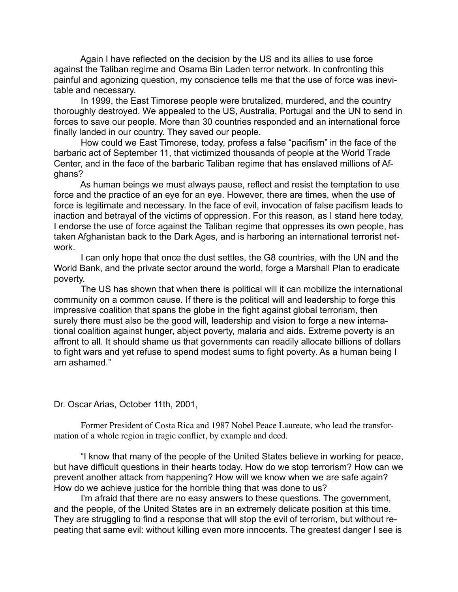Again I have reflected on the decision by the US and its allies to use force against the Taliban regime and Osama Bin Laden terror network. In confronting this painful and agonizing question, my conscience tells me that the use of force was inevitable and necessary.

In 1999, the East Timorese people were brutalized, murdered, and the country thoroughly destroyed. We appealed to the US, Australia, Portugal and the UN to send in forces to save our people. More than 30 countries responded and an international force finally landed in our country. They saved our people.

How could we East Timorese, today, profess a false "pacifism" in the face of the barbaric act of September 11, that victimized thousands of people at the World Trade Center, and in the face of the barbaric Taliban regime that has enslaved millions of Afghans?

As human beings we must always pause, reflect and resist the temptation to use force and the practice of an eye for an eye. However, there are times, when the use of force is legitimate and necessary. In the face of evil, invocation of false pacifism leads to inaction and betrayal of the victims of oppression. For this reason, as I stand here today, I endorse the use of force against the Taliban regime that oppresses its own people, has taken Afghanistan back to the Dark Ages, and is harboring an international terrorist network.

I can only hope that once the dust settles, the G8 countries, with the UN and the World Bank, and the private sector around the world, forge a Marshall Plan to eradicate poverty.

The US has shown that when there is political will it can mobilize the international community on a common cause. If there is the political will and leadership to forge this impressive coalition that spans the globe in the fight against global terrorism, then surely there must also be the good will, leadership and vision to forge a new international coalition against hunger, abject poverty, malaria and aids. Extreme poverty is an affront to all. It should shame us that governments can readily allocate billions of dollars to fight wars and yet refuse to spend modest sums to fight poverty. As a human being I am ashamed."

Dr. Oscar Arias, October 11th, 2001,

Former President of Costa Rica and 1987 Nobel Peace Laureate, who lead the transformation of a whole region in tragic conflict, by example and deed.

"I know that many of the people of the United States believe in working for peace, but have difficult questions in their hearts today. How do we stop terrorism? How can we prevent another attack from happening? How will we know when we are safe again? How do we achieve justice for the horrible thing that was done to us?

I'm afraid that there are no easy answers to these questions. The government, and the people, of the United States are in an extremely delicate position at this time. They are struggling to find a response that will stop the evil of terrorism, but without repeating that same evil: without killing even more innocents. The greatest danger I see is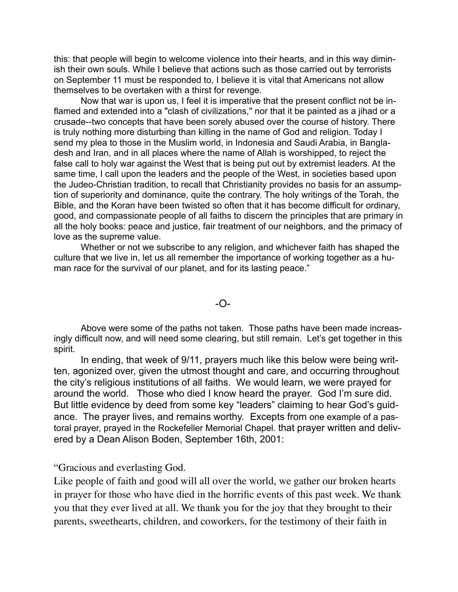this: that people will begin to welcome violence into their hearts, and in this way diminish their own souls. While I believe that actions such as those carried out by terrorists on September 11 must be responded to, I believe it is vital that Americans not allow themselves to be overtaken with a thirst for revenge.

Now that war is upon us, I feel it is imperative that the present conflict not be inflamed and extended into a "clash of civilizations," nor that it be painted as a jihad or a crusade--two concepts that have been sorely abused over the course of history. There is truly nothing more disturbing than killing in the name of God and religion. Today I send my plea to those in the Muslim world, in Indonesia and Saudi Arabia, in Bangladesh and Iran, and in all places where the name of Allah is worshipped, to reject the false call to holy war against the West that is being put out by extremist leaders. At the same time, I call upon the leaders and the people of the West, in societies based upon the Judeo-Christian tradition, to recall that Christianity provides no basis for an assumption of superiority and dominance, quite the contrary. The holy writings of the Torah, the Bible, and the Koran have been twisted so often that it has become difficult for ordinary, good, and compassionate people of all faiths to discern the principles that are primary in all the holy books: peace and justice, fair treatment of our neighbors, and the primacy of love as the supreme value.

Whether or not we subscribe to any religion, and whichever faith has shaped the culture that we live in, let us all remember the importance of working together as a human race for the survival of our planet, and for its lasting peace."

## -O-

Above were some of the paths not taken. Those paths have been made increasingly difficult now, and will need some clearing, but still remain. Let's get together in this spirit.

In ending, that week of 9/11, prayers much like this below were being written, agonized over, given the utmost thought and care, and occurring throughout the city's religious institutions of all faiths. We would learn, we were prayed for around the world. Those who died I know heard the prayer. God I'm sure did. But little evidence by deed from some key "leaders" claiming to hear God's guidance. The prayer lives, and remains worthy. Excepts from one example of a pastoral prayer, prayed in the Rockefeller Memorial Chapel. that prayer written and delivered by a Dean Alison Boden, September 16th, 2001:

"Gracious and everlasting God.

Like people of faith and good will all over the world, we gather our broken hearts in prayer for those who have died in the horrific events of this past week. We thank you that they ever lived at all. We thank you for the joy that they brought to their parents, sweethearts, children, and coworkers, for the testimony of their faith in